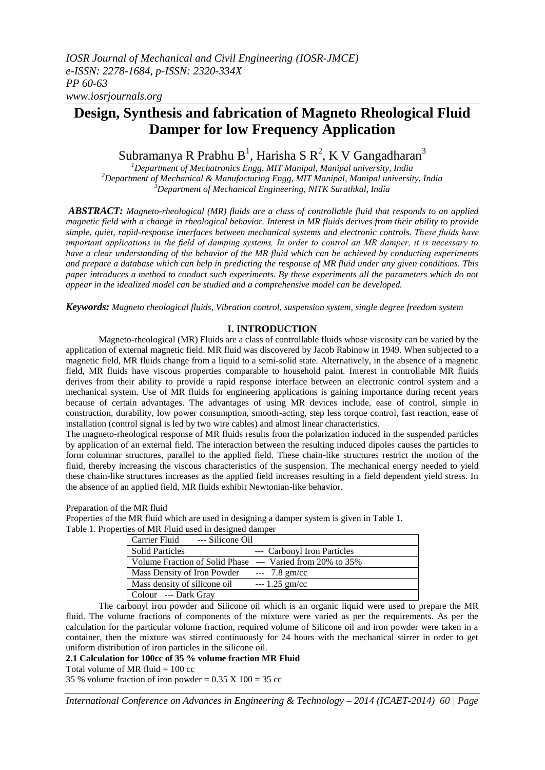# **Design, Synthesis and fabrication of Magneto Rheological Fluid Damper for low Frequency Application**

Subramanya R Prabhu B<sup>1</sup>, Harisha S R<sup>2</sup>, K V Gangadharan<sup>3</sup>

*<sup>1</sup>Department of Mechatronics Engg, MIT Manipal, Manipal university, India <sup>2</sup>Department of Mechanical & Manufacturing Engg, MIT Manipal, Manipal university, India <sup>3</sup>Department of Mechanical Engineering, NITK Surathkal, India*

*ABSTRACT: Magneto-rheological (MR) fluids are a class of controllable fluid that responds to an applied magnetic field with a change in rheological behavior. Interest in MR fluids derives from their ability to provide simple, quiet, rapid-response interfaces between mechanical systems and electronic controls. These fluids have important applications in the field of damping systems. In order to control an MR damper, it is necessary to have a clear understanding of the behavior of the MR fluid which can be achieved by conducting experiments and prepare a database which can help in predicting the response of MR fluid under any given conditions. This paper introduces a method to conduct such experiments. By these experiments all the parameters which do not appear in the idealized model can be studied and a comprehensive model can be developed.*

*Keywords: Magneto rheological fluids, Vibration control, suspension system, single degree freedom system*

## **I. INTRODUCTION**

Magneto-rheological (MR) Fluids are a class of controllable fluids whose viscosity can be varied by the application of external magnetic field. MR fluid was discovered by Jacob Rabinow in 1949. When subjected to a magnetic field, MR fluids change from a liquid to a semi-solid state. Alternatively, in the absence of a magnetic field, MR fluids have viscous properties comparable to household paint. Interest in controllable MR fluids derives from their ability to provide a rapid response interface between an electronic control system and a mechanical system. Use of MR fluids for engineering applications is gaining importance during recent years because of certain advantages. The advantages of using MR devices include, ease of control, simple in construction, durability, low power consumption, smooth-acting, step less torque control, fast reaction, ease of installation (control signal is led by two wire cables) and almost linear characteristics.

The magneto-rheological response of MR fluids results from the polarization induced in the suspended particles by application of an external field. The interaction between the resulting induced dipoles causes the particles to form columnar structures, parallel to the applied field. These chain-like structures restrict the motion of the fluid, thereby increasing the viscous characteristics of the suspension. The mechanical energy needed to yield these chain-like structures increases as the applied field increases resulting in a field dependent yield stress. In the absence of an applied field, MR fluids exhibit Newtonian-like behavior.

Preparation of the MR fluid

Properties of the MR fluid which are used in designing a damper system is given in Table 1. Table 1. Properties of MR Fluid used in designed damper

| Carrier Fluid --- Silicone Oil                            |                             |
|-----------------------------------------------------------|-----------------------------|
| <b>Solid Particles</b>                                    | --- Carbonyl Iron Particles |
| Volume Fraction of Solid Phase --- Varied from 20% to 35% |                             |
| Mass Density of Iron Powder                               | $-- 7.8$ gm/cc              |
| Mass density of silicone oil                              | $-1.25$ gm/cc               |
| Colour --- Dark Gray                                      |                             |

The carbonyl iron powder and Silicone oil which is an organic liquid were used to prepare the MR fluid. The volume fractions of components of the mixture were varied as per the requirements. As per the calculation for the particular volume fraction, required volume of Silicone oil and iron powder were taken in a container, then the mixture was stirred continuously for 24 hours with the mechanical stirrer in order to get uniform distribution of iron particles in the silicone oil.

**2.1 Calculation for 100cc of 35 % volume fraction MR Fluid**

Total volume of MR fluid  $= 100$  cc

35 % volume fraction of iron powder =  $0.35 \text{ X} 100 = 35 \text{ cc}$ 

*International Conference on Advances in Engineering & Technology – 2014 (ICAET-2014) 60 | Page*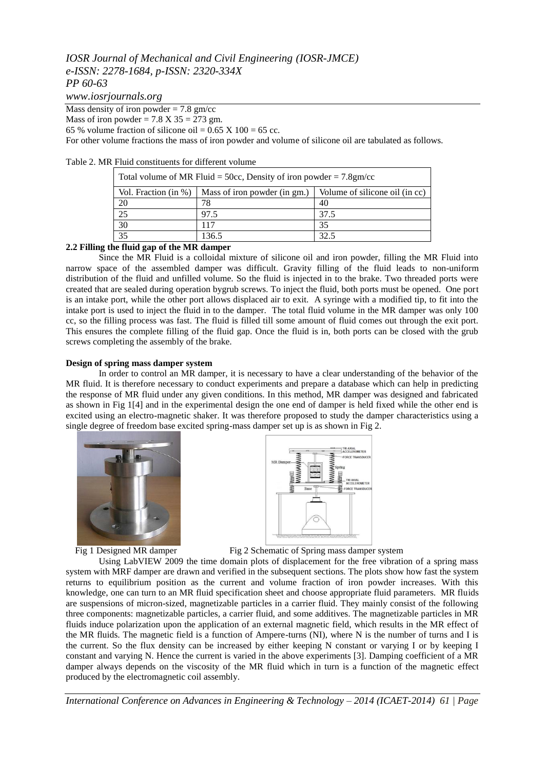# *IOSR Journal of Mechanical and Civil Engineering (IOSR-JMCE) e-ISSN: 2278-1684, p-ISSN: 2320-334X PP 60-63*

*www.iosrjournals.org*

Mass density of iron powder  $= 7.8$  gm/cc

Mass of iron powder =  $7.8 \text{ X } 35 = 273 \text{ gm}$ .

65 % volume fraction of silicone oil =  $0.65$  X 100 = 65 cc.

For other volume fractions the mass of iron powder and volume of silicone oil are tabulated as follows.

| Table 2. MR Fluid constituents for different volume |  |  |
|-----------------------------------------------------|--|--|
|-----------------------------------------------------|--|--|

| Total volume of MR Fluid = 50cc, Density of iron powder = $7.8 \text{gm/cc}$ |                              |                                |  |
|------------------------------------------------------------------------------|------------------------------|--------------------------------|--|
| Vol. Fraction (in %)                                                         | Mass of iron powder (in gm.) | Volume of silicone oil (in cc) |  |
| 20                                                                           | 78                           | 40                             |  |
| $\overline{25}$                                                              | 97.5                         | 37.5                           |  |
| 30                                                                           | 117                          | 35                             |  |
| 35                                                                           | 136.5                        | 32.5                           |  |

## **2.2 Filling the fluid gap of the MR damper**

Since the MR Fluid is a colloidal mixture of silicone oil and iron powder, filling the MR Fluid into narrow space of the assembled damper was difficult. Gravity filling of the fluid leads to non-uniform distribution of the fluid and unfilled volume. So the fluid is injected in to the brake. Two threaded ports were created that are sealed during operation bygrub screws. To inject the fluid, both ports must be opened. One port is an intake port, while the other port allows displaced air to exit. A syringe with a modified tip, to fit into the intake port is used to inject the fluid in to the damper. The total fluid volume in the MR damper was only 100 cc, so the filling process was fast. The fluid is filled till some amount of fluid comes out through the exit port. This ensures the complete filling of the fluid gap. Once the fluid is in, both ports can be closed with the grub screws completing the assembly of the brake.

### **Design of spring mass damper system**

In order to control an MR damper, it is necessary to have a clear understanding of the behavior of the MR fluid. It is therefore necessary to conduct experiments and prepare a database which can help in predicting the response of MR fluid under any given conditions. In this method, MR damper was designed and fabricated as shown in Fig 1[4] and in the experimental design the one end of damper is held fixed while the other end is excited using an electro-magnetic shaker. It was therefore proposed to study the damper characteristics using a single degree of freedom base excited spring-mass damper set up is as shown in Fig 2.





Fig 1 Designed MR damper Fig 2 Schematic of Spring mass damper system

Using LabVIEW 2009 the time domain plots of displacement for the free vibration of a spring mass system with MRF damper are drawn and verified in the subsequent sections. The plots show how fast the system returns to equilibrium position as the current and volume fraction of iron powder increases. With this knowledge, one can turn to an MR fluid specification sheet and choose appropriate fluid parameters. MR fluids are suspensions of micron-sized, magnetizable particles in a carrier fluid. They mainly consist of the following three components: magnetizable particles, a carrier fluid, and some additives. The magnetizable particles in MR fluids induce polarization upon the application of an external magnetic field, which results in the MR effect of the MR fluids. The magnetic field is a function of Ampere-turns (NI), where N is the number of turns and I is the current. So the flux density can be increased by either keeping N constant or varying I or by keeping I constant and varying N. Hence the current is varied in the above experiments [3]. Damping coefficient of a MR damper always depends on the viscosity of the MR fluid which in turn is a function of the magnetic effect produced by the electromagnetic coil assembly.

*International Conference on Advances in Engineering & Technology – 2014 (ICAET-2014) 61 | Page*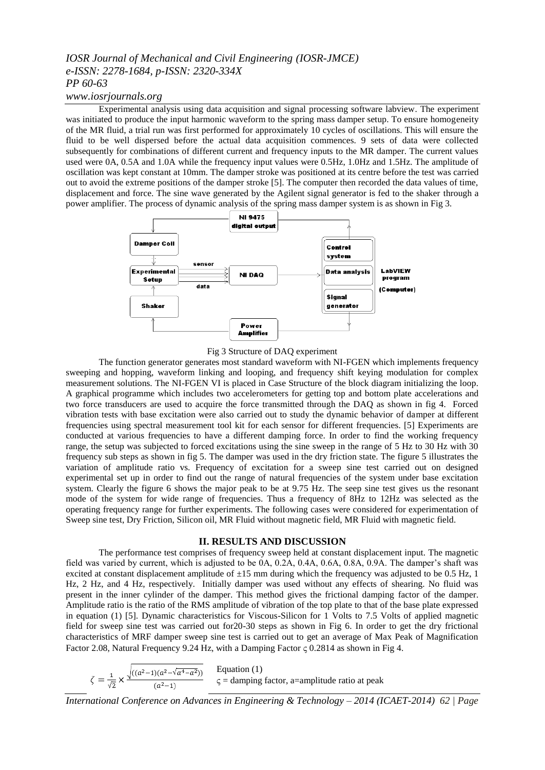## *IOSR Journal of Mechanical and Civil Engineering (IOSR-JMCE) e-ISSN: 2278-1684, p-ISSN: 2320-334X PP 60-63*

## *www.iosrjournals.org*

Experimental analysis using data acquisition and signal processing software labview. The experiment was initiated to produce the input harmonic waveform to the spring mass damper setup. To ensure homogeneity of the MR fluid, a trial run was first performed for approximately 10 cycles of oscillations. This will ensure the fluid to be well dispersed before the actual data acquisition commences. 9 sets of data were collected subsequently for combinations of different current and frequency inputs to the MR damper. The current values used were 0A, 0.5A and 1.0A while the frequency input values were 0.5Hz, 1.0Hz and 1.5Hz. The amplitude of oscillation was kept constant at 10mm. The damper stroke was positioned at its centre before the test was carried out to avoid the extreme positions of the damper stroke [5]. The computer then recorded the data values of time, displacement and force. The sine wave generated by the Agilent signal generator is fed to the shaker through a power amplifier. The process of dynamic analysis of the spring mass damper system is as shown in Fig 3.



Fig 3 Structure of DAQ experiment

The function generator generates most standard waveform with NI-FGEN which implements frequency sweeping and hopping, waveform linking and looping, and frequency shift keying modulation for complex measurement solutions. The NI-FGEN VI is placed in Case Structure of the block diagram initializing the loop. A graphical programme which includes two accelerometers for getting top and bottom plate accelerations and two force transducers are used to acquire the force transmitted through the DAQ as shown in fig 4. Forced vibration tests with base excitation were also carried out to study the dynamic behavior of damper at different frequencies using spectral measurement tool kit for each sensor for different frequencies. [5] Experiments are conducted at various frequencies to have a different damping force. In order to find the working frequency range, the setup was subjected to forced excitations using the sine sweep in the range of 5 Hz to 30 Hz with 30 frequency sub steps as shown in fig 5. The damper was used in the dry friction state. The figure 5 illustrates the variation of amplitude ratio vs. Frequency of excitation for a sweep sine test carried out on designed experimental set up in order to find out the range of natural frequencies of the system under base excitation system. Clearly the figure 6 shows the major peak to be at 9.75 Hz. The seep sine test gives us the resonant mode of the system for wide range of frequencies. Thus a frequency of 8Hz to 12Hz was selected as the operating frequency range for further experiments. The following cases were considered for experimentation of Sweep sine test, Dry Friction, Silicon oil, MR Fluid without magnetic field, MR Fluid with magnetic field.

### **II. RESULTS AND DISCUSSION**

The performance test comprises of frequency sweep held at constant displacement input. The magnetic field was varied by current, which is adjusted to be 0A, 0.2A, 0.4A, 0.6A, 0.8A, 0.9A. The damper's shaft was excited at constant displacement amplitude of  $\pm 15$  mm during which the frequency was adjusted to be 0.5 Hz, 1 Hz, 2 Hz, and 4 Hz, respectively. Initially damper was used without any effects of shearing. No fluid was present in the inner cylinder of the damper. This method gives the frictional damping factor of the damper. Amplitude ratio is the ratio of the RMS amplitude of vibration of the top plate to that of the base plate expressed in equation (1) [5]. Dynamic characteristics for Viscous-Silicon for 1 Volts to 7.5 Volts of applied magnetic field for sweep sine test was carried out for20-30 steps as shown in Fig 6. In order to get the dry frictional characteristics of MRF damper sweep sine test is carried out to get an average of Max Peak of Magnification Factor 2.08, Natural Frequency 9.24 Hz, with a Damping Factor  $\zeta$  0.2814 as shown in Fig 4.

Equation (1)  $\varsigma$  = damping factor, a=amplitude ratio at peak

*International Conference on Advances in Engineering & Technology – 2014 (ICAET-2014) 62 | Page*